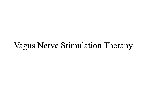#### Vagus Nerve Stimulation Therapy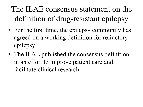### The ILAE consensus statement on the definition of drug-resistant epilepsy

- For the first time, the epilepsy community has agreed on a working definition for refractory epilepsy
- The ILAE published the consensus definition in an effort to improve patient care and facilitate clinical research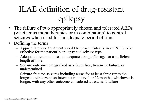# ILAE definition of drug-resistant epilepsy

- The failure of two appropriately chosen and tolerated AEDs (whether as monotherapies or in combination) to control seizures when used for an adequate period of time
- Defining the terms
	- Appropriateness: treatment should be proven (ideally in an RCT) to be effective for the patient's epilepsy and seizure type
	- Adequate: treatment used at adequate strength/dosage for a sufficient length of time
	- Seizure outcome: categorized as seizure free, treatment failure, or undetermined
	- Seizure free: no seizures including auras for at least three times the longest preintervention interseizure interval or 12 months, whichever is longer, with any other outcome considered a treatment failure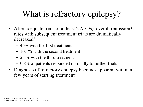# What is refractory epilepsy?

- After adequate trials of at least  $2$  AEDs,<sup>1</sup> overall remission\* rates with subsequent treatment trials are dramatically decreased2
	- $-46\%$  with the first treatment
	- $-10.1\%$  with the second treatment
	- $-2.3\%$  with the third treatment
	- 0.8% of patients responded optimally to further trials
- Diagnosis of refractory epilepsy becomes apparent within a few years of starting treatment<sup>2</sup>

<sup>1.</sup> Kwan P, et al. *Epilepsia* 2010;51(6):1069:1077.

<sup>2.</sup> Mohanraj R and Brodie MJ. Eur J Neurol. 2006;13:277-282.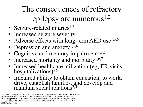### The consequences of refractory epilepsy are numerous<sup> $1,2$ </sup>

- Seizure-related injuries $1,3$
- Increased seizure severity<sup>3</sup>
- Adverse effects with long-term AED use<sup>1,3,5</sup>
- Depression and anxiety<sup>1,3,4</sup>
- Cognitive and memory impairment $1,3,5$
- Increased mortality and morbidity<sup>1,6,7</sup>
- Increased healthcare utilization (eg, ER visits,  $hospitalizations$ ) $8,9$
- Impaired ability to obtain education, to work, drive, establish families, and develop and maintain social relations<sup>2,3</sup>

1. Schmidt D. Epilepsy Res 2002;50:21-32. 2. Wheless JW. Epilepsy Behav 2006;8:756-764. 3. Fisher RS, et al. Epilepsy Res 2000;41:39-51. 4. Gilliam F. Neurology 2002;58:S9-S20. 5. Meador KJ. Neurology 2002;58(suppl 5):S21-S26. 6. Lhatoo SD, et al. Postgrad Med J 1999;75:706-709. 7. Annegers JF, et al. Epilepsia 1998;39:206-212. 8. Faught E, et al. Epilepsia 2009;50:501-509. 9. Lee WC, et al. Clin Ther 2005;27(10):1629-1638.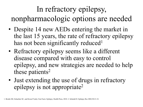### In refractory epilepsy, nonpharmacologic options are needed

- Despite 14 new AEDs entering the market in the last 15 years, the rate of refractory epilepsy has not been significantly reduced<sup>1</sup>
- Refractory epilepsy seems like a different disease compared with easy to control epilepsy, and new strategies are needed to help these patients<sup>2</sup>
- Just extending the use of drugs in refractory epilepsy is not appropriate2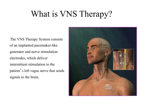# What is VNS Therapy?

The VNS Therapy System consists of an implanted pacemaker-like generator and nerve stimulation electrodes, which deliver intermittent stimulation to the patient's left vagus nerve that sends signals to the brain.

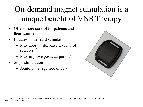# On-demand magnet stimulation is a unique benefit of VNS Therapy

- Offers more control for patients and their families<sup>1,2</sup>
- Initiates on demand stimulation
	- May abort or decrease severity of seizures $1-3$
	- $-$  May improve postictal period<sup>2</sup>
- Stops stimulation
	- $-$  Acutely manage side effects<sup>3</sup>

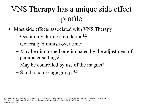# VNS Therapy has a unique side effect profile

- Most side effects associated with VNS Therapy
	- $-$  Occur only during stimulation<sup>1,2</sup>
	- Generally diminish over time2
	- May be diminished or eliminated by the adjustment of parameter settings2
	- May be controlled by use of the magnet<sup>3</sup>
	- $-$  Similar across age groups<sup>4,5</sup>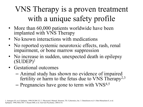#### VNS Therapy is a proven treatment with a unique safety profile

- More than 60,000 patients worldwide have been implanted with VNS Therapy
- No known interactions with medications
- No reported systemic neurotoxic effects, rash, renal impairment, or bone marrow suppression
- No increase in sudden, unexpected death in epilepsy  $(SUDEP)^1$
- Gestational outcomes
	- Animal study has shown no evidence of impaired fertility or harm to the fetus due to VNS Therapy<sup>2,3</sup>
	- Pregnancies have gone to term with VNS<sup>4,5</sup>